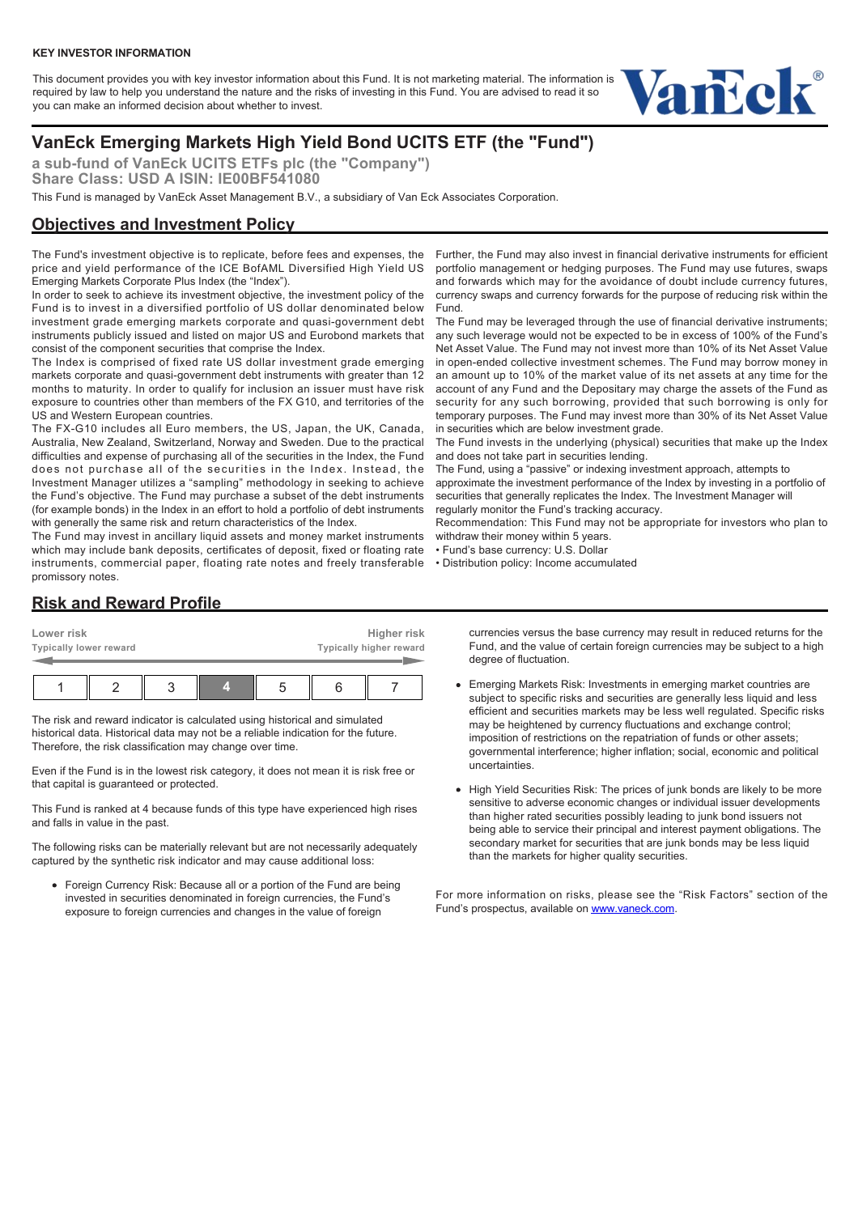This document provides you with key investor information about this Fund. It is not marketing material. The information is required by law to help you understand the nature and the risks of investing in this Fund. You are advised to read it so you can make an informed decision about whether to invest.



# **VanEck Emerging Markets High Yield Bond UCITS ETF (the "Fund")**

**a sub-fund of VanEck UCITS ETFs plc (the "Company") Share Class: USD A ISIN: IE00BF541080**

This Fund is managed by VanEck Asset Management B.V., a subsidiary of Van Eck Associates Corporation.

# **Objectives and Investment Policy**

The Fund's investment objective is to replicate, before fees and expenses, the price and yield performance of the ICE BofAML Diversified High Yield US Emerging Markets Corporate Plus Index (the "Index").

In order to seek to achieve its investment objective, the investment policy of the Fund is to invest in a diversified portfolio of US dollar denominated below investment grade emerging markets corporate and quasi-government debt instruments publicly issued and listed on major US and Eurobond markets that consist of the component securities that comprise the Index.

The Index is comprised of fixed rate US dollar investment grade emerging markets corporate and quasi-government debt instruments with greater than 12 months to maturity. In order to qualify for inclusion an issuer must have risk exposure to countries other than members of the FX G10, and territories of the US and Western European countries.

The FX-G10 includes all Euro members, the US, Japan, the UK, Canada, Australia, New Zealand, Switzerland, Norway and Sweden. Due to the practical difficulties and expense of purchasing all of the securities in the Index, the Fund does not purchase all of the securities in the Index. Instead, the Investment Manager utilizes a "sampling" methodology in seeking to achieve the Fund's objective. The Fund may purchase a subset of the debt instruments (for example bonds) in the Index in an effort to hold a portfolio of debt instruments with generally the same risk and return characteristics of the Index.

The Fund may invest in ancillary liquid assets and money market instruments which may include bank deposits, certificates of deposit, fixed or floating rate instruments, commercial paper, floating rate notes and freely transferable promissory notes.

Further, the Fund may also invest in financial derivative instruments for efficient portfolio management or hedging purposes. The Fund may use futures, swaps and forwards which may for the avoidance of doubt include currency futures, currency swaps and currency forwards for the purpose of reducing risk within the Fund.

The Fund may be leveraged through the use of financial derivative instruments; any such leverage would not be expected to be in excess of 100% of the Fund's Net Asset Value. The Fund may not invest more than 10% of its Net Asset Value in open-ended collective investment schemes. The Fund may borrow money in an amount up to 10% of the market value of its net assets at any time for the account of any Fund and the Depositary may charge the assets of the Fund as security for any such borrowing, provided that such borrowing is only for temporary purposes. The Fund may invest more than 30% of its Net Asset Value in securities which are below investment grade.

The Fund invests in the underlying (physical) securities that make up the Index and does not take part in securities lending.

The Fund, using a "passive" or indexing investment approach, attempts to

approximate the investment performance of the Index by investing in a portfolio of securities that generally replicates the Index. The Investment Manager will regularly monitor the Fund's tracking accuracy.

Recommendation: This Fund may not be appropriate for investors who plan to withdraw their money within 5 years.

• Fund's base currency: U.S. Dollar

• Distribution policy: Income accumulated

## **Risk and Reward Profile**

| Lower risk             |  |  |  |  | Higher risk             |  |  |  |
|------------------------|--|--|--|--|-------------------------|--|--|--|
| Typically lower reward |  |  |  |  | Typically higher reward |  |  |  |
|                        |  |  |  |  |                         |  |  |  |

The risk and reward indicator is calculated using historical and simulated historical data. Historical data may not be a reliable indication for the future. Therefore, the risk classification may change over time.

Even if the Fund is in the lowest risk category, it does not mean it is risk free or that capital is guaranteed or protected.

This Fund is ranked at 4 because funds of this type have experienced high rises and falls in value in the past.

The following risks can be materially relevant but are not necessarily adequately captured by the synthetic risk indicator and may cause additional loss:

Foreign Currency Risk: Because all or a portion of the Fund are being invested in securities denominated in foreign currencies, the Fund's exposure to foreign currencies and changes in the value of foreign

currencies versus the base currency may result in reduced returns for the Fund, and the value of certain foreign currencies may be subject to a high degree of fluctuation.

- Emerging Markets Risk: Investments in emerging market countries are subject to specific risks and securities are generally less liquid and less efficient and securities markets may be less well regulated. Specific risks may be heightened by currency fluctuations and exchange control; imposition of restrictions on the repatriation of funds or other assets; governmental interference; higher inflation; social, economic and political uncertainties.
- High Yield Securities Risk: The prices of junk bonds are likely to be more sensitive to adverse economic changes or individual issuer developments than higher rated securities possibly leading to junk bond issuers not being able to service their principal and interest payment obligations. The secondary market for securities that are junk bonds may be less liquid than the markets for higher quality securities.

For more information on risks, please see the "Risk Factors" section of the Fund's prospectus, available on [www.vaneck.com.](https://www.vaneck.com)